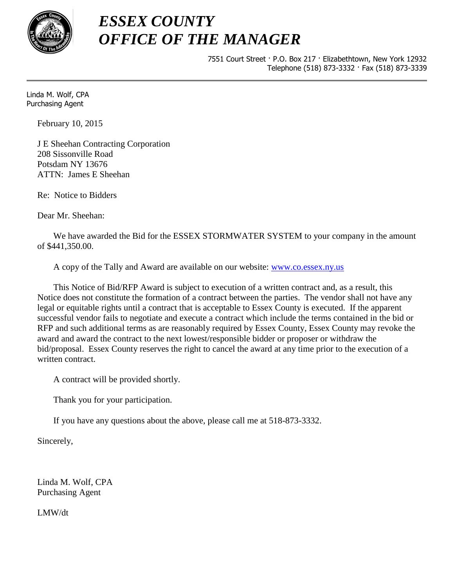

## *ESSEX COUNTY OFFICE OF THE MANAGER*

7551 Court Street · P.O. Box 217 · Elizabethtown, New York 12932 Telephone (518) 873-3332 · Fax (518) 873-3339

Linda M. Wolf, CPA Purchasing Agent

February 10, 2015

J E Sheehan Contracting Corporation 208 Sissonville Road Potsdam NY 13676 ATTN: James E Sheehan

Re: Notice to Bidders

Dear Mr. Sheehan:

We have awarded the Bid for the ESSEX STORMWATER SYSTEM to your company in the amount of \$441,350.00.

A copy of the Tally and Award are available on our website: [www.co.essex.ny.us](http://www.co.essex.ny.us/)

This Notice of Bid/RFP Award is subject to execution of a written contract and, as a result, this Notice does not constitute the formation of a contract between the parties. The vendor shall not have any legal or equitable rights until a contract that is acceptable to Essex County is executed. If the apparent successful vendor fails to negotiate and execute a contract which include the terms contained in the bid or RFP and such additional terms as are reasonably required by Essex County, Essex County may revoke the award and award the contract to the next lowest/responsible bidder or proposer or withdraw the bid/proposal. Essex County reserves the right to cancel the award at any time prior to the execution of a written contract.

A contract will be provided shortly.

Thank you for your participation.

If you have any questions about the above, please call me at 518-873-3332.

Sincerely,

Linda M. Wolf, CPA Purchasing Agent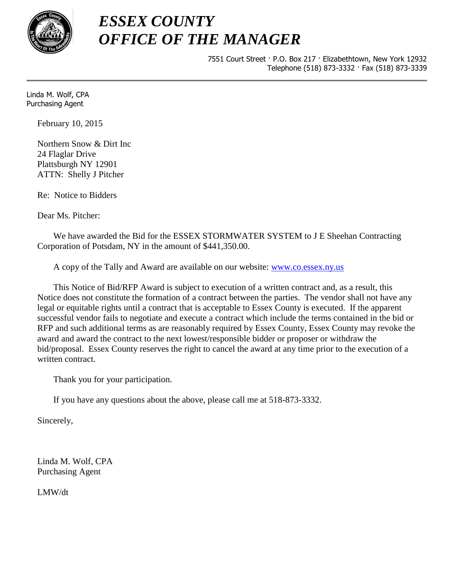

## *ESSEX COUNTY OFFICE OF THE MANAGER*

7551 Court Street · P.O. Box 217 · Elizabethtown, New York 12932 Telephone (518) 873-3332 · Fax (518) 873-3339

Linda M. Wolf, CPA Purchasing Agent

February 10, 2015

Northern Snow & Dirt Inc 24 Flaglar Drive Plattsburgh NY 12901 ATTN: Shelly J Pitcher

Re: Notice to Bidders

Dear Ms. Pitcher:

We have awarded the Bid for the ESSEX STORMWATER SYSTEM to J E Sheehan Contracting Corporation of Potsdam, NY in the amount of \$441,350.00.

A copy of the Tally and Award are available on our website: [www.co.essex.ny.us](http://www.co.essex.ny.us/)

This Notice of Bid/RFP Award is subject to execution of a written contract and, as a result, this Notice does not constitute the formation of a contract between the parties. The vendor shall not have any legal or equitable rights until a contract that is acceptable to Essex County is executed. If the apparent successful vendor fails to negotiate and execute a contract which include the terms contained in the bid or RFP and such additional terms as are reasonably required by Essex County, Essex County may revoke the award and award the contract to the next lowest/responsible bidder or proposer or withdraw the bid/proposal. Essex County reserves the right to cancel the award at any time prior to the execution of a written contract.

Thank you for your participation.

If you have any questions about the above, please call me at 518-873-3332.

Sincerely,

Linda M. Wolf, CPA Purchasing Agent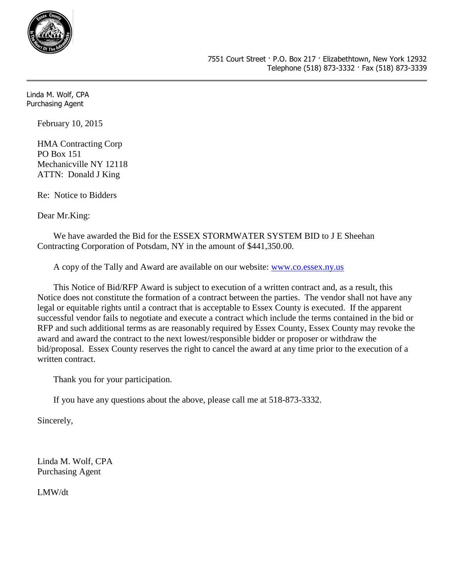

February 10, 2015

HMA Contracting Corp PO Box 151 Mechanicville NY 12118 ATTN: Donald J King

Re: Notice to Bidders

Dear Mr.King:

We have awarded the Bid for the ESSEX STORMWATER SYSTEM BID to J E Sheehan Contracting Corporation of Potsdam, NY in the amount of \$441,350.00.

A copy of the Tally and Award are available on our website: [www.co.essex.ny.us](http://www.co.essex.ny.us/)

This Notice of Bid/RFP Award is subject to execution of a written contract and, as a result, this Notice does not constitute the formation of a contract between the parties. The vendor shall not have any legal or equitable rights until a contract that is acceptable to Essex County is executed. If the apparent successful vendor fails to negotiate and execute a contract which include the terms contained in the bid or RFP and such additional terms as are reasonably required by Essex County, Essex County may revoke the award and award the contract to the next lowest/responsible bidder or proposer or withdraw the bid/proposal. Essex County reserves the right to cancel the award at any time prior to the execution of a written contract.

Thank you for your participation.

If you have any questions about the above, please call me at 518-873-3332.

Sincerely,

Linda M. Wolf, CPA Purchasing Agent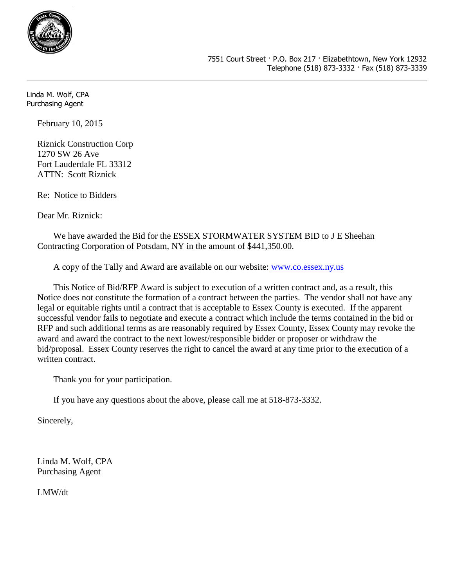

February 10, 2015

Riznick Construction Corp 1270 SW 26 Ave Fort Lauderdale FL 33312 ATTN: Scott Riznick

Re: Notice to Bidders

Dear Mr. Riznick:

We have awarded the Bid for the ESSEX STORMWATER SYSTEM BID to J E Sheehan Contracting Corporation of Potsdam, NY in the amount of \$441,350.00.

A copy of the Tally and Award are available on our website: [www.co.essex.ny.us](http://www.co.essex.ny.us/)

This Notice of Bid/RFP Award is subject to execution of a written contract and, as a result, this Notice does not constitute the formation of a contract between the parties. The vendor shall not have any legal or equitable rights until a contract that is acceptable to Essex County is executed. If the apparent successful vendor fails to negotiate and execute a contract which include the terms contained in the bid or RFP and such additional terms as are reasonably required by Essex County, Essex County may revoke the award and award the contract to the next lowest/responsible bidder or proposer or withdraw the bid/proposal. Essex County reserves the right to cancel the award at any time prior to the execution of a written contract.

Thank you for your participation.

If you have any questions about the above, please call me at 518-873-3332.

Sincerely,

Linda M. Wolf, CPA Purchasing Agent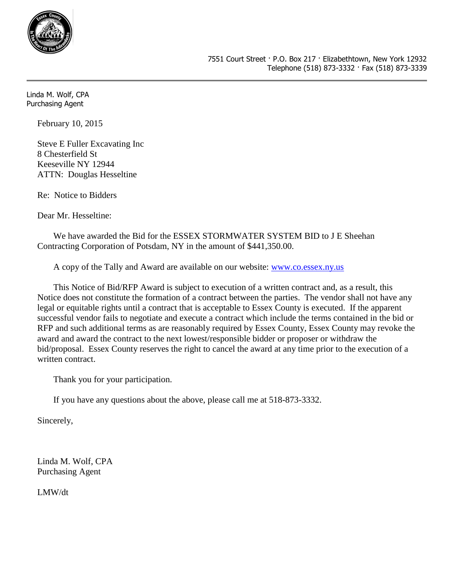

February 10, 2015

Steve E Fuller Excavating Inc 8 Chesterfield St Keeseville NY 12944 ATTN: Douglas Hesseltine

Re: Notice to Bidders

Dear Mr. Hesseltine:

We have awarded the Bid for the ESSEX STORMWATER SYSTEM BID to J E Sheehan Contracting Corporation of Potsdam, NY in the amount of \$441,350.00.

A copy of the Tally and Award are available on our website: [www.co.essex.ny.us](http://www.co.essex.ny.us/)

This Notice of Bid/RFP Award is subject to execution of a written contract and, as a result, this Notice does not constitute the formation of a contract between the parties. The vendor shall not have any legal or equitable rights until a contract that is acceptable to Essex County is executed. If the apparent successful vendor fails to negotiate and execute a contract which include the terms contained in the bid or RFP and such additional terms as are reasonably required by Essex County, Essex County may revoke the award and award the contract to the next lowest/responsible bidder or proposer or withdraw the bid/proposal. Essex County reserves the right to cancel the award at any time prior to the execution of a written contract.

Thank you for your participation.

If you have any questions about the above, please call me at 518-873-3332.

Sincerely,

Linda M. Wolf, CPA Purchasing Agent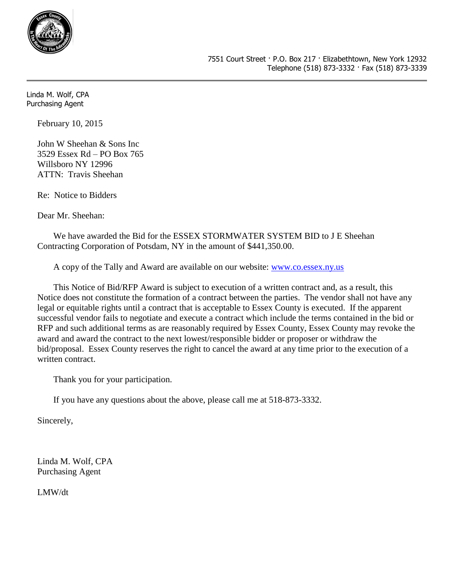

February 10, 2015

John W Sheehan & Sons Inc 3529 Essex Rd – PO Box 765 Willsboro NY 12996 ATTN: Travis Sheehan

Re: Notice to Bidders

Dear Mr. Sheehan:

We have awarded the Bid for the ESSEX STORMWATER SYSTEM BID to J E Sheehan Contracting Corporation of Potsdam, NY in the amount of \$441,350.00.

A copy of the Tally and Award are available on our website: [www.co.essex.ny.us](http://www.co.essex.ny.us/)

This Notice of Bid/RFP Award is subject to execution of a written contract and, as a result, this Notice does not constitute the formation of a contract between the parties. The vendor shall not have any legal or equitable rights until a contract that is acceptable to Essex County is executed. If the apparent successful vendor fails to negotiate and execute a contract which include the terms contained in the bid or RFP and such additional terms as are reasonably required by Essex County, Essex County may revoke the award and award the contract to the next lowest/responsible bidder or proposer or withdraw the bid/proposal. Essex County reserves the right to cancel the award at any time prior to the execution of a written contract.

Thank you for your participation.

If you have any questions about the above, please call me at 518-873-3332.

Sincerely,

Linda M. Wolf, CPA Purchasing Agent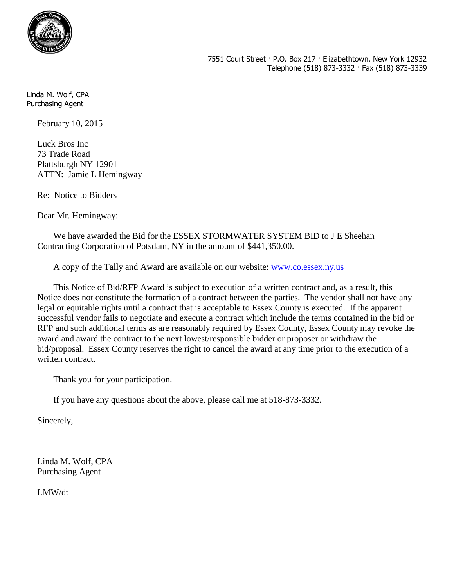

February 10, 2015

Luck Bros Inc 73 Trade Road Plattsburgh NY 12901 ATTN: Jamie L Hemingway

Re: Notice to Bidders

Dear Mr. Hemingway:

We have awarded the Bid for the ESSEX STORMWATER SYSTEM BID to J E Sheehan Contracting Corporation of Potsdam, NY in the amount of \$441,350.00.

A copy of the Tally and Award are available on our website: [www.co.essex.ny.us](http://www.co.essex.ny.us/)

This Notice of Bid/RFP Award is subject to execution of a written contract and, as a result, this Notice does not constitute the formation of a contract between the parties. The vendor shall not have any legal or equitable rights until a contract that is acceptable to Essex County is executed. If the apparent successful vendor fails to negotiate and execute a contract which include the terms contained in the bid or RFP and such additional terms as are reasonably required by Essex County, Essex County may revoke the award and award the contract to the next lowest/responsible bidder or proposer or withdraw the bid/proposal. Essex County reserves the right to cancel the award at any time prior to the execution of a written contract.

Thank you for your participation.

If you have any questions about the above, please call me at 518-873-3332.

Sincerely,

Linda M. Wolf, CPA Purchasing Agent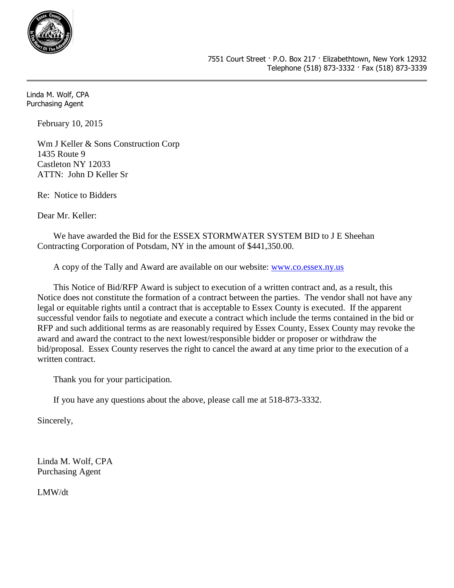

February 10, 2015

Wm J Keller & Sons Construction Corp 1435 Route 9 Castleton NY 12033 ATTN: John D Keller Sr

Re: Notice to Bidders

Dear Mr. Keller:

We have awarded the Bid for the ESSEX STORMWATER SYSTEM BID to J E Sheehan Contracting Corporation of Potsdam, NY in the amount of \$441,350.00.

A copy of the Tally and Award are available on our website: [www.co.essex.ny.us](http://www.co.essex.ny.us/)

This Notice of Bid/RFP Award is subject to execution of a written contract and, as a result, this Notice does not constitute the formation of a contract between the parties. The vendor shall not have any legal or equitable rights until a contract that is acceptable to Essex County is executed. If the apparent successful vendor fails to negotiate and execute a contract which include the terms contained in the bid or RFP and such additional terms as are reasonably required by Essex County, Essex County may revoke the award and award the contract to the next lowest/responsible bidder or proposer or withdraw the bid/proposal. Essex County reserves the right to cancel the award at any time prior to the execution of a written contract.

Thank you for your participation.

If you have any questions about the above, please call me at 518-873-3332.

Sincerely,

Linda M. Wolf, CPA Purchasing Agent